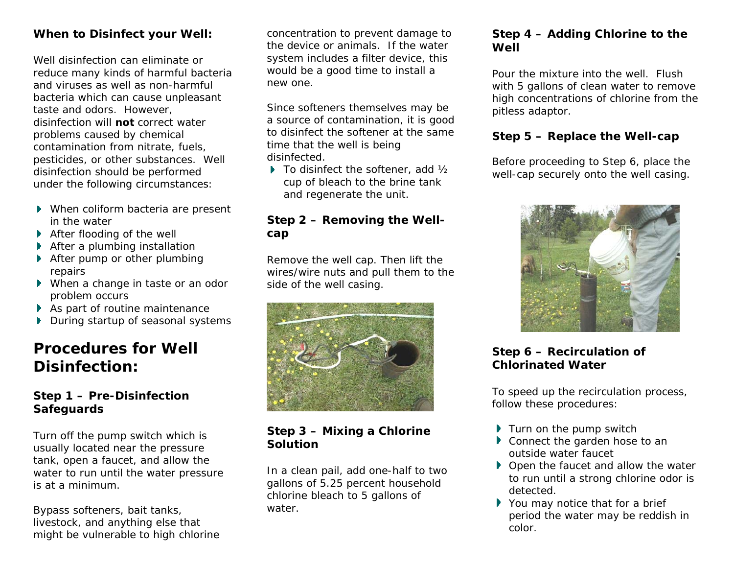#### **When to Disinfect your Well:**

Well disinfection can eliminate or reduce many kinds of harmful bacteria and viruses as well as non-harmful bacteria which can cause unpleasant taste and odors. However, disinfection will **not** correct water problems caused by chemical contamination from nitrate, fuels, pesticides, or other substances. Well disinfection should be performed under the following circumstances:

- When coliform bacteria are present in the water
- ▶ After flooding of the well
- **After a plumbing installation**
- ▶ After pump or other plumbing repairs
- When a change in taste or an odor problem occurs
- As part of routine maintenance
- During startup of seasonal systems

### **Procedures for Well Disinfection:**

#### **Step 1 – Pre-Disinfection Safeguards**

Turn off the pump switch which is usually located near the pressure tank, open a faucet, and allow the water to run until the water pressure is at a minimum.

Bypass softeners, bait tanks, livestock, and anything else that might be vulnerable to high chlorine concentration to prevent damage to the device or animals. If the water system includes a filter device, this would be a good time to install a new one.

Since softeners themselves may be a source of contamination, it is good to disinfect the softener at the same time that the well is being disinfected.

 $\blacktriangleright$  To disinfect the softener, add  $\frac{1}{2}$ cup of bleach to the brine tank and regenerate the unit.

#### **Step 2 – Removing the Wellcap**

Remove the well cap. Then lift the wires/wire nuts and pull them to the side of the well casing.



**Step 3 – Mixing a Chlorine Solution** 

In a clean pail, add one-half to two gallons of 5.25 percent household chlorine bleach to 5 gallons of water.

#### **Step 4 – Adding Chlorine to the Well**

Pour the mixture into the well. Flush with 5 gallons of clean water to remove high concentrations of chlorine from the pitless adaptor.

#### **Step 5 – Replace the Well-cap**

Before proceeding to Step 6, place the well-cap securely onto the well casing.



#### **Step 6 – Recirculation of Chlorinated Water**

To speed up the recirculation process, follow these procedures:

- $\blacktriangleright$  Turn on the pump switch
- Connect the garden hose to an outside water faucet
- $\blacktriangleright$  Open the faucet and allow the water to run until a strong chlorine odor is detected.
- ▶ You may notice that for a brief period the water may be reddish in color.